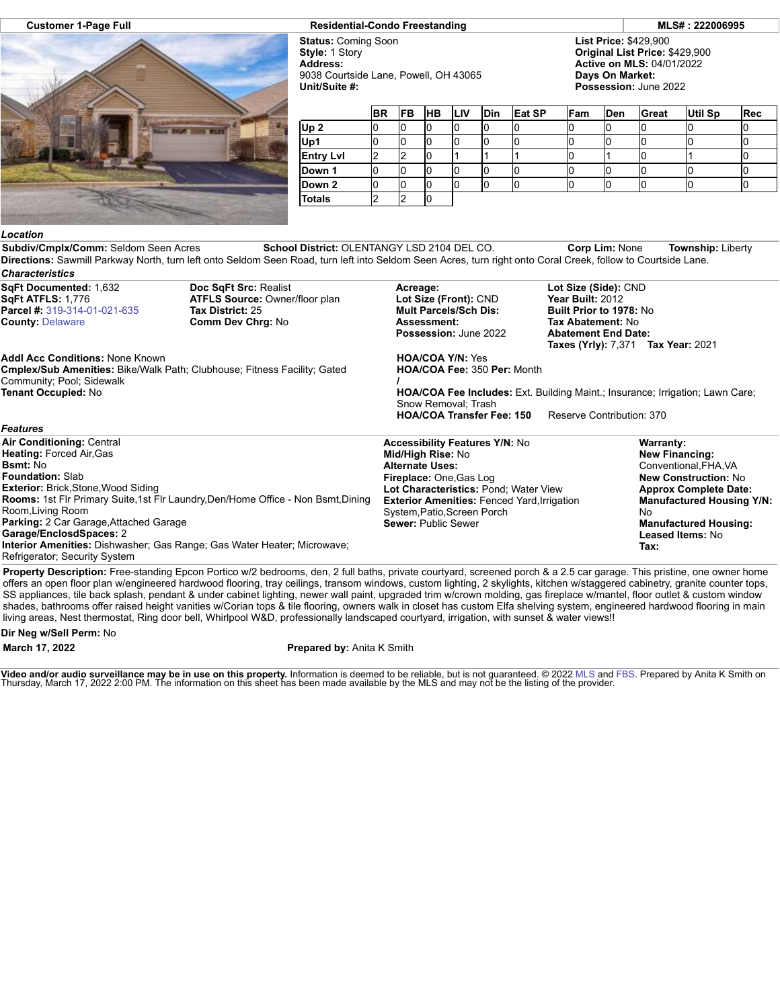

## **Customer 1-Page Full Residential-Condo Freestanding MLS# : 222006995**

**Status:** Coming Soon **Style:** 1 Story **Address:** 9038 Courtside Lane, Powell, OH 43065 **Unit/Suite #:**

**List Price:** \$429,900 **Original List Price:** \$429,900 **Active on MLS:** 04/01/2022 **Days On Market: Possession:** June 2022

|                  | <b>BR</b> | <b>IFB</b> | <b>HB</b> | <b>LIV</b> | <b>Din</b> | Eat SP | Fam | <b>Den</b> | Great | Util Sp | Rec |
|------------------|-----------|------------|-----------|------------|------------|--------|-----|------------|-------|---------|-----|
| Up <sub>2</sub>  |           |            |           |            |            |        |     |            |       |         |     |
| Up1              |           |            |           |            |            |        |     |            |       |         |     |
| <b>Entry Lvl</b> |           |            |           |            |            |        |     |            |       |         |     |
| Down 1           |           |            |           |            |            |        |     | u          |       |         |     |
| Down 2           |           |            |           |            |            |        |     | U          |       |         | ιU  |
| Totals           |           |            |           |            |            |        |     |            |       |         |     |

## *Location*

**Subdiv/Cmplx/Comm:** Seldom Seen Acres **School District:** OLENTANGY LSD 2104 DEL CO. **Corp Lim:** None **Township:** Liberty **Directions:** Sawmill Parkway North, turn left onto Seldom Seen Road, turn left into Seldom Seen Acres, turn right onto Coral Creek, follow to Courtside Lane. *Characteristics*

| SqFt Documented: 1,632<br><b>SqFt ATFLS: 1,776</b><br>Parcel #: 319-314-01-021-635<br><b>County: Delaware</b>                                                                                                                                                                                                                                                                       | Doc SqFt Src: Realist<br><b>ATFLS Source: Owner/floor plan</b><br>Tax District: 25<br><b>Comm Dev Chrg: No</b> | Acreage:<br>Lot Size (Front): CND<br><b>Mult Parcels/Sch Dis:</b><br><b>Assessment:</b><br><b>Possession: June 2022</b>                                                                                                                                             | Lot Size (Side): CND<br>Year Built: 2012<br>Built Prior to 1978: No<br>Tax Abatement: No<br><b>Abatement End Date:</b><br><b>Taxes (Yrly): 7,371</b><br><b>Tax Year: 2021</b>                                                                  |  |  |  |  |
|-------------------------------------------------------------------------------------------------------------------------------------------------------------------------------------------------------------------------------------------------------------------------------------------------------------------------------------------------------------------------------------|----------------------------------------------------------------------------------------------------------------|---------------------------------------------------------------------------------------------------------------------------------------------------------------------------------------------------------------------------------------------------------------------|------------------------------------------------------------------------------------------------------------------------------------------------------------------------------------------------------------------------------------------------|--|--|--|--|
| <b>Addl Acc Conditions: None Known</b><br><b>Cmplex/Sub Amenities:</b> Bike/Walk Path; Clubhouse; Fitness Facility; Gated<br>Community; Pool; Sidewalk<br>Tenant Occupied: No                                                                                                                                                                                                       |                                                                                                                | <b>HOA/COA Y/N: Yes</b><br>HOA/COA Fee: 350 Per: Month<br><b>HOA/COA Fee Includes:</b> Ext. Building Maint.; Insurance; Irrigation; Lawn Care;<br>Snow Removal; Trash<br><b>HOA/COA Transfer Fee: 150</b><br>Reserve Contribution: 370                              |                                                                                                                                                                                                                                                |  |  |  |  |
| <b>Features</b>                                                                                                                                                                                                                                                                                                                                                                     |                                                                                                                |                                                                                                                                                                                                                                                                     |                                                                                                                                                                                                                                                |  |  |  |  |
| <b>Air Conditioning: Central</b><br><b>Heating: Forced Air, Gas</b><br><b>Bsmt: No</b><br><b>Foundation: Slab</b><br><b>Exterior:</b> Brick, Stone, Wood Siding<br>Room, Living Room<br><b>Parking:</b> 2 Car Garage, Attached Garage<br>Garage/EnclosdSpaces: 2<br><b>Interior Amenities:</b> Dishwasher; Gas Range; Gas Water Heater; Microwave;<br>Refrigerator; Security System | Rooms: 1st Flr Primary Suite, 1st Flr Laundry, Den/Home Office - Non Bsmt, Dining                              | <b>Accessibility Features Y/N: No</b><br>Mid/High Rise: No<br><b>Alternate Uses:</b><br>Fireplace: One Gas Log<br>Lot Characteristics: Pond; Water View<br><b>Exterior Amenities: Fenced Yard, Irrigation</b><br>System, Patio, Screen Porch<br>Sewer: Public Sewer | <b>Warranty:</b><br><b>New Financing:</b><br>Conventional, FHA, VA<br><b>New Construction: No</b><br><b>Approx Complete Date:</b><br><b>Manufactured Housing Y/N:</b><br>No<br><b>Manufactured Housing:</b><br><b>Leased Items: No</b><br>Tax: |  |  |  |  |

**Property Description:** Free-standing Epcon Portico w/2 bedrooms, den, 2 full baths, private courtyard, screened porch & a 2.5 car garage. This pristine, one owner home offers an open floor plan w/engineered hardwood flooring, tray ceilings, transom windows, custom lighting, 2 skylights, kitchen w/staggered cabinetry, granite counter tops, SS appliances, tile back splash, pendant & under cabinet lighting, newer wall paint, upgraded trim w/crown molding, gas fireplace w/mantel, floor outlet & custom window shades, bathrooms offer raised height vanities w/Corian tops & tile flooring, owners walk in closet has custom Elfa shelving system, engineered hardwood flooring in main living areas, Nest thermostat, Ring door bell, Whirlpool W&D, professionally landscaped courtyard, irrigation, with sunset & water views!!

## **Dir Neg w/Sell Perm:** No

**March 17, 2022 Prepared by:** Anita K Smith

**Video and/or audio surveillance may be in use on this property.** Information is deemed to be reliable, but is not guaranteed. © 2022 [MLS](http://www.columbusrealtors.com/) and [FBS](http://www.flexmls.com/copyright_notice.html?2). Prepared by Anita K Smith on<br>Thursday, March 17, 2022 2:00 PM. The informat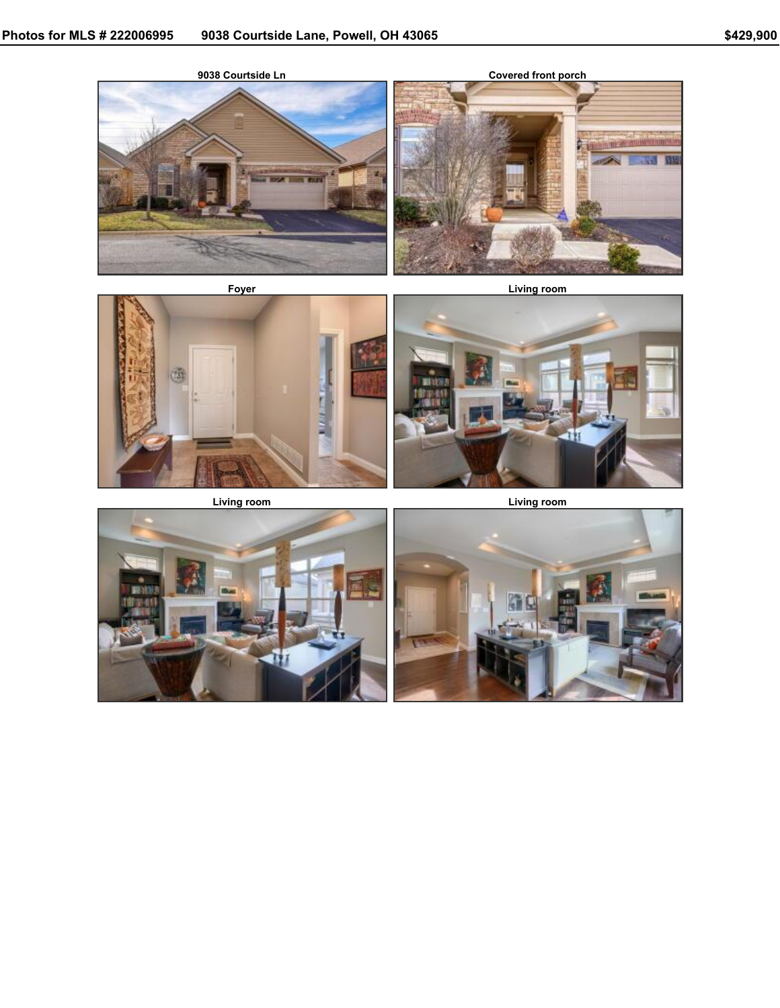



**Foyer Living room**



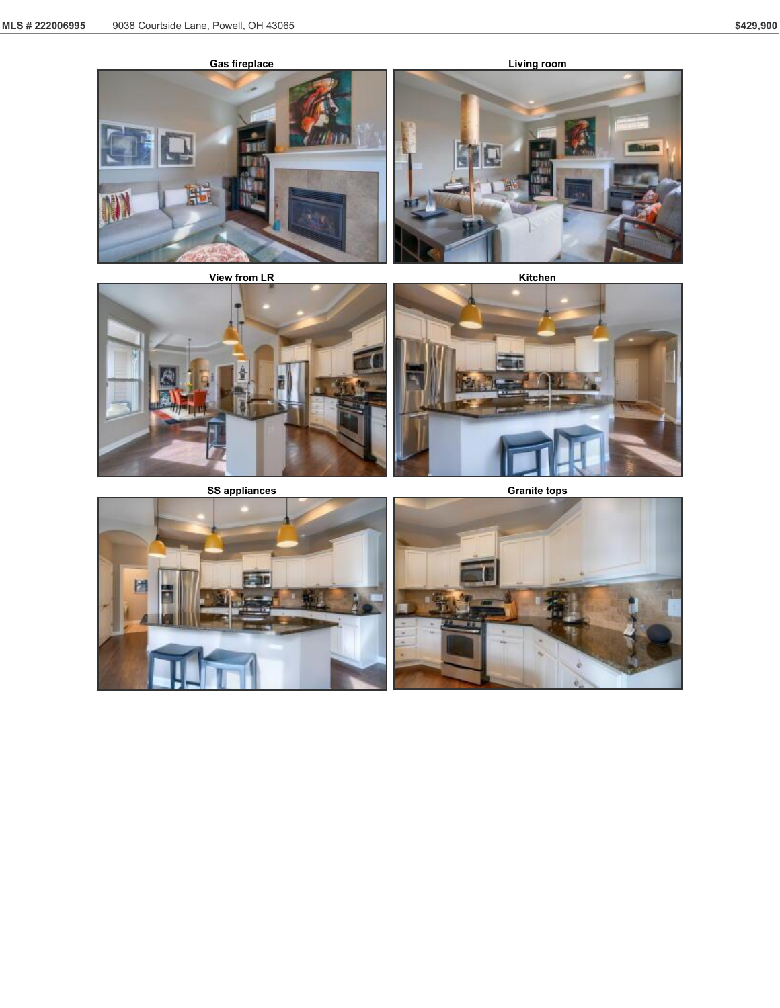









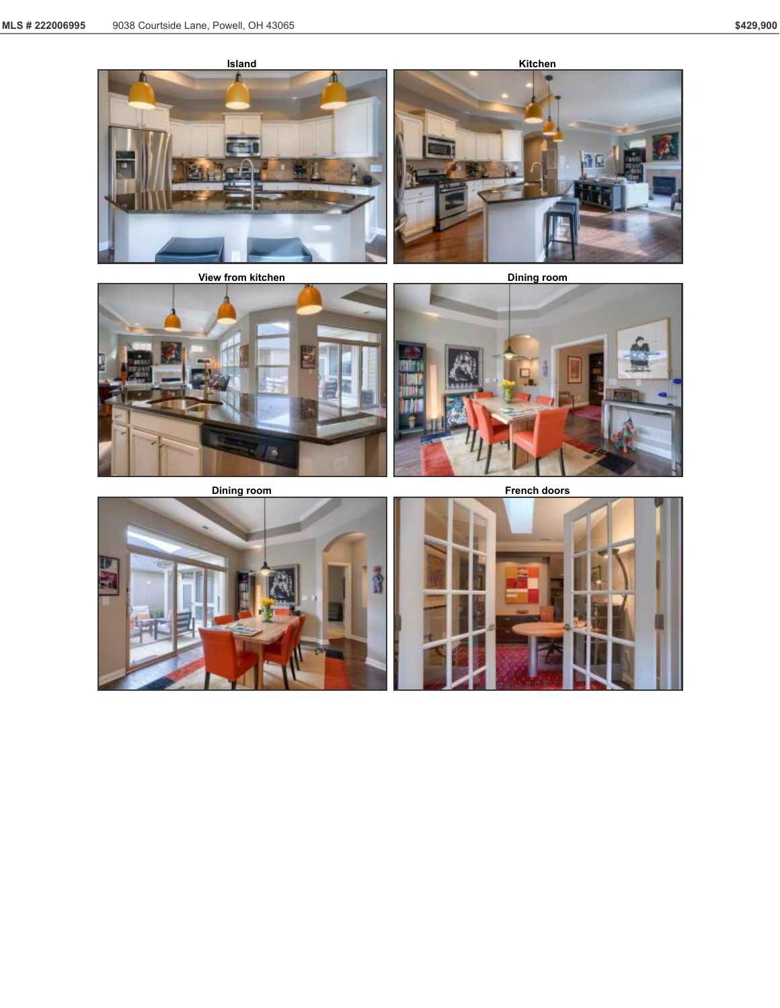





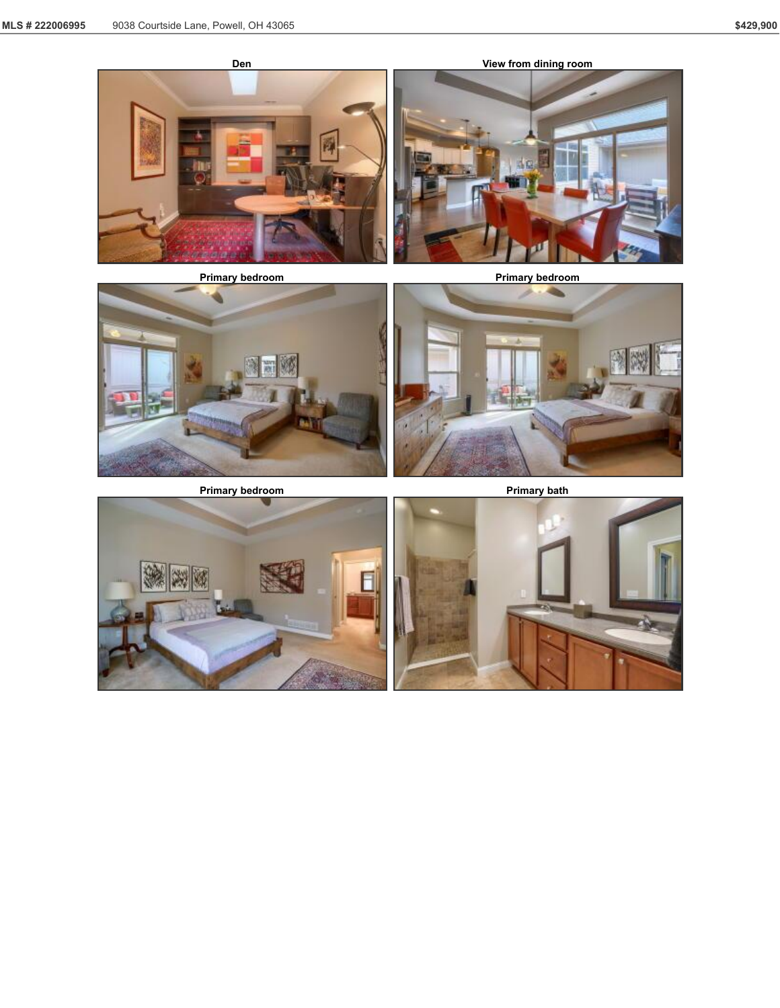





**Primary bedroom Primary bath** 



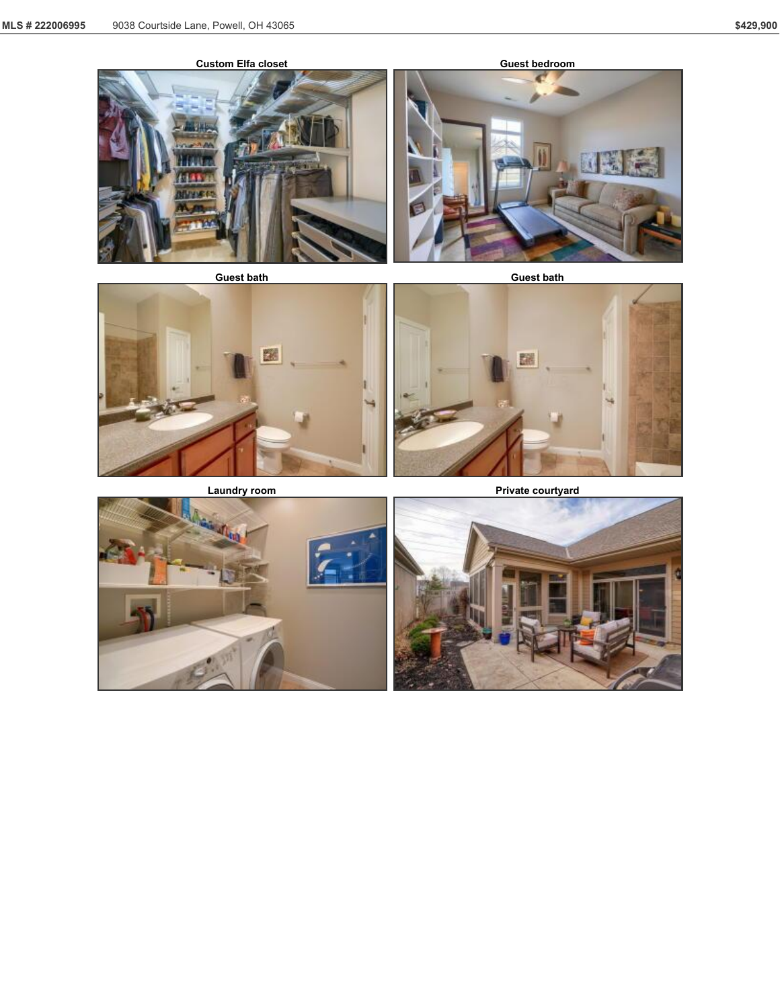



糯





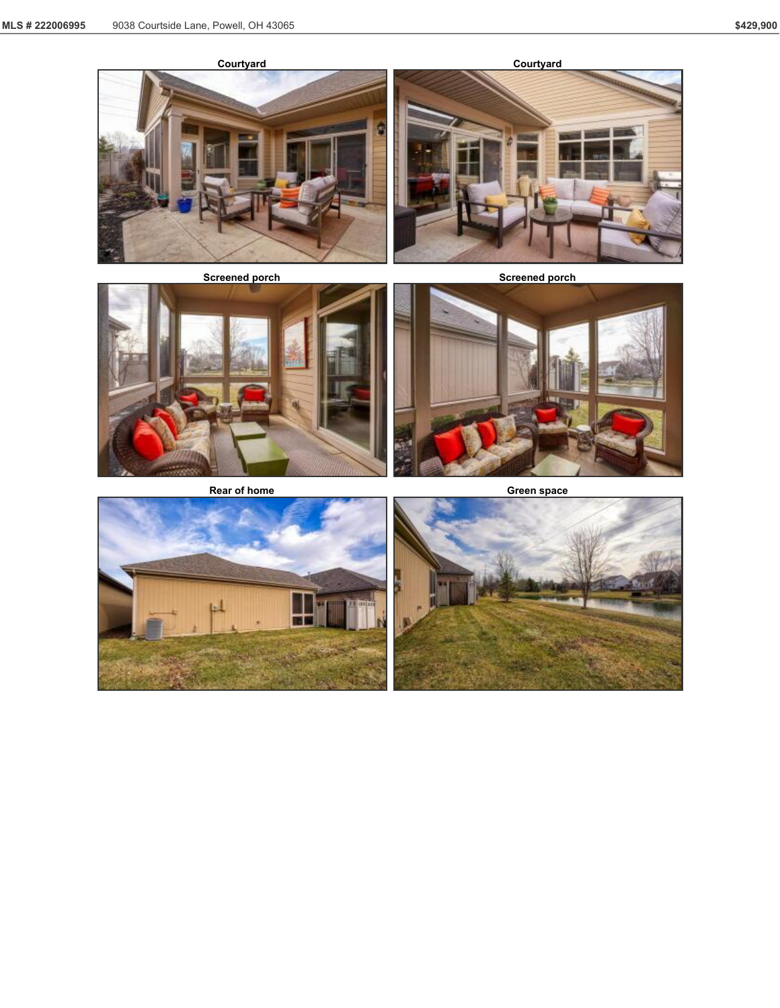





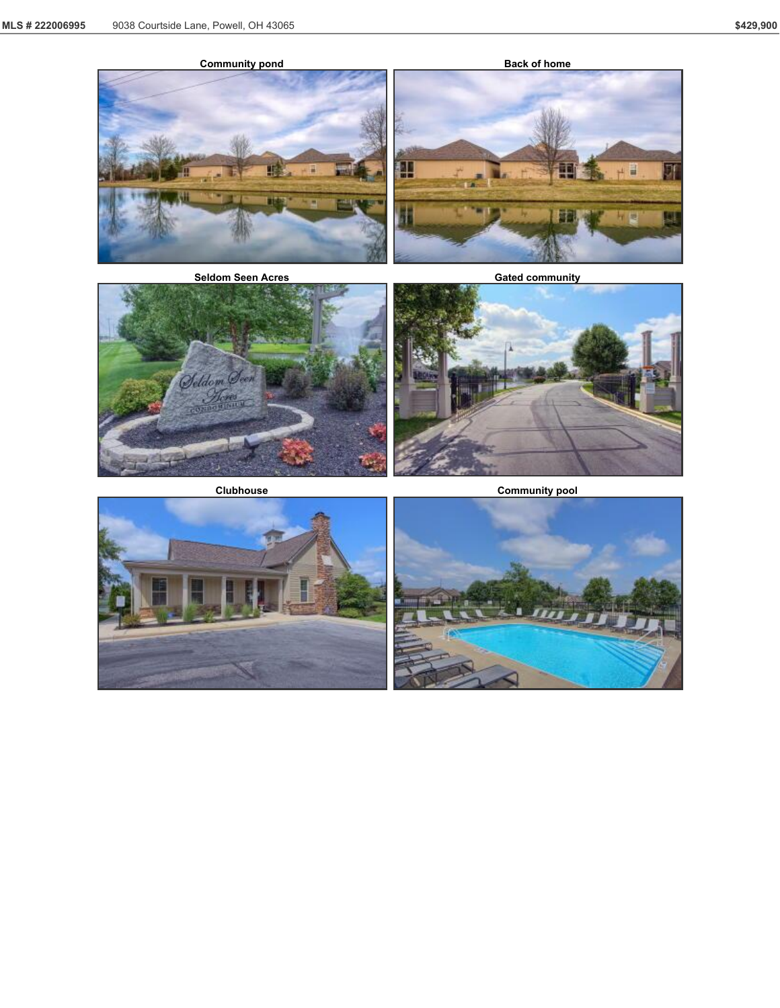